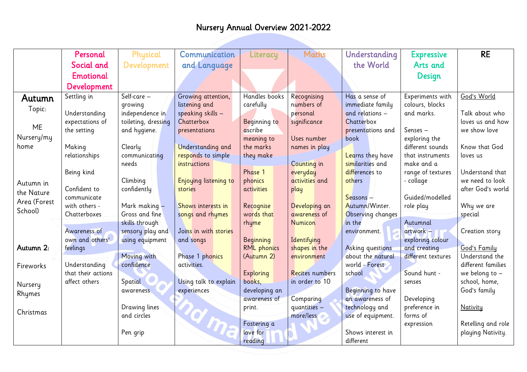|              | Personal                            | Physical            | Communication         | Literacy                   | <b>Maths</b>    | Understanding                         | <b>Expressive</b>  | <b>RE</b>                         |
|--------------|-------------------------------------|---------------------|-----------------------|----------------------------|-----------------|---------------------------------------|--------------------|-----------------------------------|
|              | Social and                          | Development         | and Language          |                            |                 | the World                             | Arts and           |                                   |
|              | <b>Emotional</b>                    |                     |                       |                            |                 |                                       | Design             |                                   |
|              | Development                         |                     |                       |                            |                 |                                       |                    |                                   |
| Autumn       | Settling in                         | Self-care -         | Growing attention,    | Handles books              | Recognising     | Has a sense of                        | Experiments with   | God's World                       |
| Topic:       |                                     | qrowing             | listening and         | carefully                  | numbers of      | immediate family                      | colours, blocks    |                                   |
|              | Understanding                       | independence in     | speaking skills $-$   |                            | personal        | and relations -                       | and marks.         | Talk about who                    |
|              | expectations of                     | toileting, dressing | Chatterbox            | <b>Beginning to</b>        | significance    | Chatterbox                            |                    | loves us and how                  |
| <b>ME</b>    | the setting                         | and hygiene.        | presentations         | ascribe                    |                 | presentations and                     | $Senses -$         | we show love                      |
| Nursery/my   |                                     |                     |                       | meaning to                 | Uses number     | book                                  | exploring the      |                                   |
| home         | Making                              | Clearly             | Understanding and     | the marks                  | names in play   |                                       | different sounds   | Know that God                     |
|              | relationships                       | communicating       | responds to simple    | they make                  |                 | Learns they have                      | that instruments   | loves us                          |
|              |                                     | needs               | <i>instructions</i>   |                            | Counting in     | similarities and                      | make and a         |                                   |
|              | Being kind                          |                     |                       | Phase 1                    | everyday        | differences to                        | range of textures  | Understand that                   |
| Autumn in    |                                     | Climbing            | Enjoying listening to | phonics                    | activities and  | others                                | - collage          | we need to look                   |
| the Nature   | Confident to                        | confidently         | stories               | activities                 | play            |                                       |                    | after God's world                 |
| Area (Forest | communicate                         |                     |                       |                            |                 | Seasons -                             | Guided/modelled    |                                   |
| School)      | with others -                       | Mark making -       | Shows interests in    | Recognise                  | Developing an   | Autumn/Winter.                        | role play          | Why we are                        |
|              | Chatterboxes                        | Gross and fine      | songs and rhymes      | words that                 | awareness of    | Observing changes                     |                    | special                           |
|              |                                     | skills through      |                       | rhyme                      | <b>Numicon</b>  | in the                                | Autumnal           |                                   |
|              | Awareness of                        | sensory play and    | Joins in with stories |                            |                 | environment.                          | artwork -          | Creation story                    |
| Autumn 2:    | own and others'                     | using equipment     | and songs             | <b>Beginning</b>           | Identifying     |                                       | exploring colour   |                                   |
|              | feelings                            |                     |                       | <b>RML</b> phonics         | shapes in the   | Asking questions<br>about the natural | and creating       | God's Family<br>Understand the    |
|              |                                     | Moving with         | Phase 1 phonics       | (Autumn 2)                 | environment     | world - Forest                        | different textures | different families                |
| Fireworks    | Understanding<br>that their actions | confidence          | activities.           |                            | Recites numbers | school                                | Sound hunt -       |                                   |
|              | affect others                       | Spatial             | Using talk to explain | <b>Exploring</b><br>books, | in order to 10  |                                       | senses             | we belong to $-$<br>school, home, |
| Nursery      |                                     | awareness           | experiences           | developing an              |                 | Beginning to have                     |                    | God's family                      |
| Rhymes       |                                     |                     |                       | awareness of               | Comparing       | an awareness of                       | Developing         |                                   |
|              |                                     | Drawing lines       |                       | print.                     | quantities -    | technology and                        | preference in      | <b>Nativity</b>                   |
| Christmas    |                                     | and circles         |                       |                            | more/less       | use of equipment.                     | forms of           |                                   |
|              |                                     |                     |                       | Fostering a                |                 |                                       | expression         | Retelling and role                |
|              |                                     | Pen grip            | RGID                  | love for                   |                 | Shows interest in                     |                    | playing Nativity.                 |
|              |                                     |                     |                       | reading                    |                 | different                             |                    |                                   |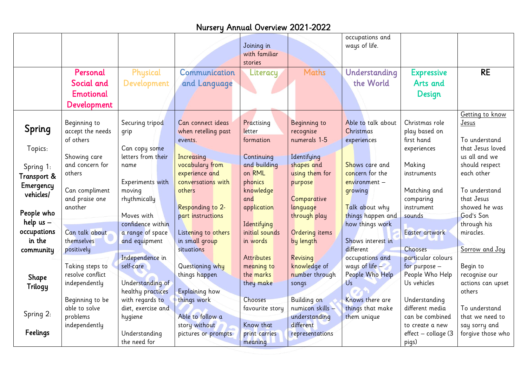| <b>RE</b><br>Personal<br><b>Maths</b><br>Physical<br>Communication<br>Understanding<br><b>Expressive</b><br>Literacy<br>Social and<br>Development<br>the World<br>Arts and<br>and Language<br><b>Emotional</b><br>Design<br>Development<br>Getting to know<br>Able to talk about<br>Christmas role<br>Beginning to<br>Securing tripod<br>Can connect ideas<br>Practising<br>Beginning to<br>Jesus<br>Spring<br>accept the needs<br>when retelling past<br>recognise<br>Christmas<br>play based on<br>letter<br>grip<br>of others<br>numerals 1-5<br>first hand<br>To understand<br>formation<br>events.<br>experiences<br>Topics:<br>that Jesus loved<br>Can copy some<br>experiences<br>letters from their<br>Identifying<br>us all and we<br>Showing care<br>Continuing<br>Increasing<br>and concern for<br>vocabulary from<br>and building<br>shapes and<br>Shows care and<br>Making<br>should respect<br>name<br>Spring 1:<br>on RML<br>experience and<br>using them for<br>concern for the<br>each other<br>others<br>instruments<br>Transport &<br>conversations with<br>Experiments with<br>phonics<br>$environment -$<br>purpose<br>Emergency<br>Can compliment<br>Matching and<br>moving<br>knowledge<br>To understand<br>others<br>growing<br>vehicles/<br>that Jesus<br>and praise one<br>rhythmically<br>and<br>Comparative<br>comparing<br>showed he was<br>Responding to 2-<br>language<br>Talk about why<br>instrument<br>another<br>application<br>People who<br>Moves with<br>things happen and<br>God's Son<br>part instructions<br>through play<br>sounds<br>help $us -$<br>Identifying<br>confidence within<br>how things work<br>through his<br>occupations<br>initial sounds<br>Can talk about<br>Ordering items<br>Easter artwork<br>a range of space<br>Listening to others<br>miracles.<br>in the<br>themselves<br>and equipment<br>in small group<br>Shows interest in<br>by length<br>in words<br>different<br>Chooses<br>situations<br>Sorrow and Joy<br>positively<br>community<br>Independence in<br><b>Attributes</b><br>particular colours<br>Revising<br>occupations and<br>Taking steps to<br>self-care<br>knowledge of<br>ways of life<br>Questioning why<br>for purpose -<br>Begin to<br>meaning to<br>resolve conflict<br>People Who Help<br>People Who Help<br>things happen<br>the marks<br>number through<br>recognise our<br>Shape<br>Understanding of<br>Us<br>Us vehicles<br>independently<br>they make<br>actions can upset<br>songs<br>Trilogy<br>healthy practices<br>Explaining how<br>others<br>Beginning to be<br>with regards to<br>Chooses<br>Building on<br>Understanding<br>things work<br>Knows there are<br>able to solve<br>numicon skills -<br>things that make<br>different media<br>To understand<br>diet, exercise and<br>favourite story<br>Spring 2:<br>Able to follow a<br>problems<br>understanding<br>them unique<br>can be combined<br>that we need to<br>hygiene<br>independently<br>story without<br>Know that<br>different<br>say sorry and<br>to create a new<br>Feelings<br>Understanding<br>effect - collage (3<br>forgive those who<br>pictures or prompts<br>print carries<br>representations |  |              | Joining in<br>with familiar<br>stories | occupations and<br>ways of life. |       |  |
|-------------------------------------------------------------------------------------------------------------------------------------------------------------------------------------------------------------------------------------------------------------------------------------------------------------------------------------------------------------------------------------------------------------------------------------------------------------------------------------------------------------------------------------------------------------------------------------------------------------------------------------------------------------------------------------------------------------------------------------------------------------------------------------------------------------------------------------------------------------------------------------------------------------------------------------------------------------------------------------------------------------------------------------------------------------------------------------------------------------------------------------------------------------------------------------------------------------------------------------------------------------------------------------------------------------------------------------------------------------------------------------------------------------------------------------------------------------------------------------------------------------------------------------------------------------------------------------------------------------------------------------------------------------------------------------------------------------------------------------------------------------------------------------------------------------------------------------------------------------------------------------------------------------------------------------------------------------------------------------------------------------------------------------------------------------------------------------------------------------------------------------------------------------------------------------------------------------------------------------------------------------------------------------------------------------------------------------------------------------------------------------------------------------------------------------------------------------------------------------------------------------------------------------------------------------------------------------------------------------------------------------------------------------------------------------------------------------------------------------------------------------------------------------------------------------------------------------------------------------------------------------------------------------------------------------------------------------------------------------------------------------------------------------------------------------------------------------------------------------------------------------------------------------------------|--|--------------|----------------------------------------|----------------------------------|-------|--|
|                                                                                                                                                                                                                                                                                                                                                                                                                                                                                                                                                                                                                                                                                                                                                                                                                                                                                                                                                                                                                                                                                                                                                                                                                                                                                                                                                                                                                                                                                                                                                                                                                                                                                                                                                                                                                                                                                                                                                                                                                                                                                                                                                                                                                                                                                                                                                                                                                                                                                                                                                                                                                                                                                                                                                                                                                                                                                                                                                                                                                                                                                                                                                                         |  |              |                                        |                                  |       |  |
|                                                                                                                                                                                                                                                                                                                                                                                                                                                                                                                                                                                                                                                                                                                                                                                                                                                                                                                                                                                                                                                                                                                                                                                                                                                                                                                                                                                                                                                                                                                                                                                                                                                                                                                                                                                                                                                                                                                                                                                                                                                                                                                                                                                                                                                                                                                                                                                                                                                                                                                                                                                                                                                                                                                                                                                                                                                                                                                                                                                                                                                                                                                                                                         |  |              |                                        |                                  |       |  |
|                                                                                                                                                                                                                                                                                                                                                                                                                                                                                                                                                                                                                                                                                                                                                                                                                                                                                                                                                                                                                                                                                                                                                                                                                                                                                                                                                                                                                                                                                                                                                                                                                                                                                                                                                                                                                                                                                                                                                                                                                                                                                                                                                                                                                                                                                                                                                                                                                                                                                                                                                                                                                                                                                                                                                                                                                                                                                                                                                                                                                                                                                                                                                                         |  |              |                                        |                                  |       |  |
|                                                                                                                                                                                                                                                                                                                                                                                                                                                                                                                                                                                                                                                                                                                                                                                                                                                                                                                                                                                                                                                                                                                                                                                                                                                                                                                                                                                                                                                                                                                                                                                                                                                                                                                                                                                                                                                                                                                                                                                                                                                                                                                                                                                                                                                                                                                                                                                                                                                                                                                                                                                                                                                                                                                                                                                                                                                                                                                                                                                                                                                                                                                                                                         |  |              |                                        |                                  |       |  |
|                                                                                                                                                                                                                                                                                                                                                                                                                                                                                                                                                                                                                                                                                                                                                                                                                                                                                                                                                                                                                                                                                                                                                                                                                                                                                                                                                                                                                                                                                                                                                                                                                                                                                                                                                                                                                                                                                                                                                                                                                                                                                                                                                                                                                                                                                                                                                                                                                                                                                                                                                                                                                                                                                                                                                                                                                                                                                                                                                                                                                                                                                                                                                                         |  |              |                                        |                                  |       |  |
|                                                                                                                                                                                                                                                                                                                                                                                                                                                                                                                                                                                                                                                                                                                                                                                                                                                                                                                                                                                                                                                                                                                                                                                                                                                                                                                                                                                                                                                                                                                                                                                                                                                                                                                                                                                                                                                                                                                                                                                                                                                                                                                                                                                                                                                                                                                                                                                                                                                                                                                                                                                                                                                                                                                                                                                                                                                                                                                                                                                                                                                                                                                                                                         |  |              |                                        |                                  |       |  |
|                                                                                                                                                                                                                                                                                                                                                                                                                                                                                                                                                                                                                                                                                                                                                                                                                                                                                                                                                                                                                                                                                                                                                                                                                                                                                                                                                                                                                                                                                                                                                                                                                                                                                                                                                                                                                                                                                                                                                                                                                                                                                                                                                                                                                                                                                                                                                                                                                                                                                                                                                                                                                                                                                                                                                                                                                                                                                                                                                                                                                                                                                                                                                                         |  |              |                                        |                                  |       |  |
|                                                                                                                                                                                                                                                                                                                                                                                                                                                                                                                                                                                                                                                                                                                                                                                                                                                                                                                                                                                                                                                                                                                                                                                                                                                                                                                                                                                                                                                                                                                                                                                                                                                                                                                                                                                                                                                                                                                                                                                                                                                                                                                                                                                                                                                                                                                                                                                                                                                                                                                                                                                                                                                                                                                                                                                                                                                                                                                                                                                                                                                                                                                                                                         |  |              |                                        |                                  |       |  |
|                                                                                                                                                                                                                                                                                                                                                                                                                                                                                                                                                                                                                                                                                                                                                                                                                                                                                                                                                                                                                                                                                                                                                                                                                                                                                                                                                                                                                                                                                                                                                                                                                                                                                                                                                                                                                                                                                                                                                                                                                                                                                                                                                                                                                                                                                                                                                                                                                                                                                                                                                                                                                                                                                                                                                                                                                                                                                                                                                                                                                                                                                                                                                                         |  |              |                                        |                                  |       |  |
|                                                                                                                                                                                                                                                                                                                                                                                                                                                                                                                                                                                                                                                                                                                                                                                                                                                                                                                                                                                                                                                                                                                                                                                                                                                                                                                                                                                                                                                                                                                                                                                                                                                                                                                                                                                                                                                                                                                                                                                                                                                                                                                                                                                                                                                                                                                                                                                                                                                                                                                                                                                                                                                                                                                                                                                                                                                                                                                                                                                                                                                                                                                                                                         |  |              |                                        |                                  |       |  |
|                                                                                                                                                                                                                                                                                                                                                                                                                                                                                                                                                                                                                                                                                                                                                                                                                                                                                                                                                                                                                                                                                                                                                                                                                                                                                                                                                                                                                                                                                                                                                                                                                                                                                                                                                                                                                                                                                                                                                                                                                                                                                                                                                                                                                                                                                                                                                                                                                                                                                                                                                                                                                                                                                                                                                                                                                                                                                                                                                                                                                                                                                                                                                                         |  |              |                                        |                                  |       |  |
|                                                                                                                                                                                                                                                                                                                                                                                                                                                                                                                                                                                                                                                                                                                                                                                                                                                                                                                                                                                                                                                                                                                                                                                                                                                                                                                                                                                                                                                                                                                                                                                                                                                                                                                                                                                                                                                                                                                                                                                                                                                                                                                                                                                                                                                                                                                                                                                                                                                                                                                                                                                                                                                                                                                                                                                                                                                                                                                                                                                                                                                                                                                                                                         |  |              |                                        |                                  |       |  |
|                                                                                                                                                                                                                                                                                                                                                                                                                                                                                                                                                                                                                                                                                                                                                                                                                                                                                                                                                                                                                                                                                                                                                                                                                                                                                                                                                                                                                                                                                                                                                                                                                                                                                                                                                                                                                                                                                                                                                                                                                                                                                                                                                                                                                                                                                                                                                                                                                                                                                                                                                                                                                                                                                                                                                                                                                                                                                                                                                                                                                                                                                                                                                                         |  |              |                                        |                                  |       |  |
|                                                                                                                                                                                                                                                                                                                                                                                                                                                                                                                                                                                                                                                                                                                                                                                                                                                                                                                                                                                                                                                                                                                                                                                                                                                                                                                                                                                                                                                                                                                                                                                                                                                                                                                                                                                                                                                                                                                                                                                                                                                                                                                                                                                                                                                                                                                                                                                                                                                                                                                                                                                                                                                                                                                                                                                                                                                                                                                                                                                                                                                                                                                                                                         |  |              |                                        |                                  |       |  |
|                                                                                                                                                                                                                                                                                                                                                                                                                                                                                                                                                                                                                                                                                                                                                                                                                                                                                                                                                                                                                                                                                                                                                                                                                                                                                                                                                                                                                                                                                                                                                                                                                                                                                                                                                                                                                                                                                                                                                                                                                                                                                                                                                                                                                                                                                                                                                                                                                                                                                                                                                                                                                                                                                                                                                                                                                                                                                                                                                                                                                                                                                                                                                                         |  |              |                                        |                                  |       |  |
|                                                                                                                                                                                                                                                                                                                                                                                                                                                                                                                                                                                                                                                                                                                                                                                                                                                                                                                                                                                                                                                                                                                                                                                                                                                                                                                                                                                                                                                                                                                                                                                                                                                                                                                                                                                                                                                                                                                                                                                                                                                                                                                                                                                                                                                                                                                                                                                                                                                                                                                                                                                                                                                                                                                                                                                                                                                                                                                                                                                                                                                                                                                                                                         |  |              |                                        |                                  |       |  |
|                                                                                                                                                                                                                                                                                                                                                                                                                                                                                                                                                                                                                                                                                                                                                                                                                                                                                                                                                                                                                                                                                                                                                                                                                                                                                                                                                                                                                                                                                                                                                                                                                                                                                                                                                                                                                                                                                                                                                                                                                                                                                                                                                                                                                                                                                                                                                                                                                                                                                                                                                                                                                                                                                                                                                                                                                                                                                                                                                                                                                                                                                                                                                                         |  |              |                                        |                                  |       |  |
|                                                                                                                                                                                                                                                                                                                                                                                                                                                                                                                                                                                                                                                                                                                                                                                                                                                                                                                                                                                                                                                                                                                                                                                                                                                                                                                                                                                                                                                                                                                                                                                                                                                                                                                                                                                                                                                                                                                                                                                                                                                                                                                                                                                                                                                                                                                                                                                                                                                                                                                                                                                                                                                                                                                                                                                                                                                                                                                                                                                                                                                                                                                                                                         |  |              |                                        |                                  |       |  |
|                                                                                                                                                                                                                                                                                                                                                                                                                                                                                                                                                                                                                                                                                                                                                                                                                                                                                                                                                                                                                                                                                                                                                                                                                                                                                                                                                                                                                                                                                                                                                                                                                                                                                                                                                                                                                                                                                                                                                                                                                                                                                                                                                                                                                                                                                                                                                                                                                                                                                                                                                                                                                                                                                                                                                                                                                                                                                                                                                                                                                                                                                                                                                                         |  |              |                                        |                                  |       |  |
|                                                                                                                                                                                                                                                                                                                                                                                                                                                                                                                                                                                                                                                                                                                                                                                                                                                                                                                                                                                                                                                                                                                                                                                                                                                                                                                                                                                                                                                                                                                                                                                                                                                                                                                                                                                                                                                                                                                                                                                                                                                                                                                                                                                                                                                                                                                                                                                                                                                                                                                                                                                                                                                                                                                                                                                                                                                                                                                                                                                                                                                                                                                                                                         |  |              |                                        |                                  |       |  |
|                                                                                                                                                                                                                                                                                                                                                                                                                                                                                                                                                                                                                                                                                                                                                                                                                                                                                                                                                                                                                                                                                                                                                                                                                                                                                                                                                                                                                                                                                                                                                                                                                                                                                                                                                                                                                                                                                                                                                                                                                                                                                                                                                                                                                                                                                                                                                                                                                                                                                                                                                                                                                                                                                                                                                                                                                                                                                                                                                                                                                                                                                                                                                                         |  |              |                                        |                                  |       |  |
|                                                                                                                                                                                                                                                                                                                                                                                                                                                                                                                                                                                                                                                                                                                                                                                                                                                                                                                                                                                                                                                                                                                                                                                                                                                                                                                                                                                                                                                                                                                                                                                                                                                                                                                                                                                                                                                                                                                                                                                                                                                                                                                                                                                                                                                                                                                                                                                                                                                                                                                                                                                                                                                                                                                                                                                                                                                                                                                                                                                                                                                                                                                                                                         |  |              |                                        |                                  |       |  |
|                                                                                                                                                                                                                                                                                                                                                                                                                                                                                                                                                                                                                                                                                                                                                                                                                                                                                                                                                                                                                                                                                                                                                                                                                                                                                                                                                                                                                                                                                                                                                                                                                                                                                                                                                                                                                                                                                                                                                                                                                                                                                                                                                                                                                                                                                                                                                                                                                                                                                                                                                                                                                                                                                                                                                                                                                                                                                                                                                                                                                                                                                                                                                                         |  |              |                                        |                                  |       |  |
|                                                                                                                                                                                                                                                                                                                                                                                                                                                                                                                                                                                                                                                                                                                                                                                                                                                                                                                                                                                                                                                                                                                                                                                                                                                                                                                                                                                                                                                                                                                                                                                                                                                                                                                                                                                                                                                                                                                                                                                                                                                                                                                                                                                                                                                                                                                                                                                                                                                                                                                                                                                                                                                                                                                                                                                                                                                                                                                                                                                                                                                                                                                                                                         |  |              |                                        |                                  |       |  |
|                                                                                                                                                                                                                                                                                                                                                                                                                                                                                                                                                                                                                                                                                                                                                                                                                                                                                                                                                                                                                                                                                                                                                                                                                                                                                                                                                                                                                                                                                                                                                                                                                                                                                                                                                                                                                                                                                                                                                                                                                                                                                                                                                                                                                                                                                                                                                                                                                                                                                                                                                                                                                                                                                                                                                                                                                                                                                                                                                                                                                                                                                                                                                                         |  |              |                                        |                                  |       |  |
|                                                                                                                                                                                                                                                                                                                                                                                                                                                                                                                                                                                                                                                                                                                                                                                                                                                                                                                                                                                                                                                                                                                                                                                                                                                                                                                                                                                                                                                                                                                                                                                                                                                                                                                                                                                                                                                                                                                                                                                                                                                                                                                                                                                                                                                                                                                                                                                                                                                                                                                                                                                                                                                                                                                                                                                                                                                                                                                                                                                                                                                                                                                                                                         |  |              |                                        |                                  |       |  |
|                                                                                                                                                                                                                                                                                                                                                                                                                                                                                                                                                                                                                                                                                                                                                                                                                                                                                                                                                                                                                                                                                                                                                                                                                                                                                                                                                                                                                                                                                                                                                                                                                                                                                                                                                                                                                                                                                                                                                                                                                                                                                                                                                                                                                                                                                                                                                                                                                                                                                                                                                                                                                                                                                                                                                                                                                                                                                                                                                                                                                                                                                                                                                                         |  |              |                                        |                                  |       |  |
|                                                                                                                                                                                                                                                                                                                                                                                                                                                                                                                                                                                                                                                                                                                                                                                                                                                                                                                                                                                                                                                                                                                                                                                                                                                                                                                                                                                                                                                                                                                                                                                                                                                                                                                                                                                                                                                                                                                                                                                                                                                                                                                                                                                                                                                                                                                                                                                                                                                                                                                                                                                                                                                                                                                                                                                                                                                                                                                                                                                                                                                                                                                                                                         |  |              |                                        |                                  |       |  |
|                                                                                                                                                                                                                                                                                                                                                                                                                                                                                                                                                                                                                                                                                                                                                                                                                                                                                                                                                                                                                                                                                                                                                                                                                                                                                                                                                                                                                                                                                                                                                                                                                                                                                                                                                                                                                                                                                                                                                                                                                                                                                                                                                                                                                                                                                                                                                                                                                                                                                                                                                                                                                                                                                                                                                                                                                                                                                                                                                                                                                                                                                                                                                                         |  |              |                                        |                                  |       |  |
|                                                                                                                                                                                                                                                                                                                                                                                                                                                                                                                                                                                                                                                                                                                                                                                                                                                                                                                                                                                                                                                                                                                                                                                                                                                                                                                                                                                                                                                                                                                                                                                                                                                                                                                                                                                                                                                                                                                                                                                                                                                                                                                                                                                                                                                                                                                                                                                                                                                                                                                                                                                                                                                                                                                                                                                                                                                                                                                                                                                                                                                                                                                                                                         |  |              |                                        |                                  |       |  |
|                                                                                                                                                                                                                                                                                                                                                                                                                                                                                                                                                                                                                                                                                                                                                                                                                                                                                                                                                                                                                                                                                                                                                                                                                                                                                                                                                                                                                                                                                                                                                                                                                                                                                                                                                                                                                                                                                                                                                                                                                                                                                                                                                                                                                                                                                                                                                                                                                                                                                                                                                                                                                                                                                                                                                                                                                                                                                                                                                                                                                                                                                                                                                                         |  | the need for | meaning                                |                                  | pigs) |  |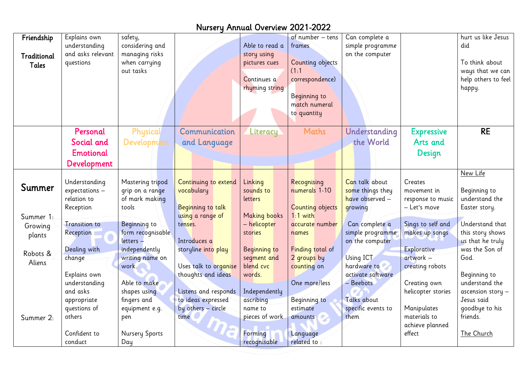| Friendship<br>Traditional<br>Tales         | Explains own<br>understanding<br>and asks relevant<br>questions    | safety,<br>considering and<br>managing risks<br>when carrying<br>out tasks |                                                                                           | Able to read a<br>story using<br>pictures cues<br>Continues a<br>rhyming string | of number - tens<br>frames<br>Counting objects<br>(1:1)<br>correspondence)<br>Beginning to<br>match numeral<br>to quantity | Can complete a<br>simple programme<br>on the computer                            |                                                                   | hurt us like Jesus<br>did<br>To think about<br>ways that we can<br>help others to feel<br>happy. |
|--------------------------------------------|--------------------------------------------------------------------|----------------------------------------------------------------------------|-------------------------------------------------------------------------------------------|---------------------------------------------------------------------------------|----------------------------------------------------------------------------------------------------------------------------|----------------------------------------------------------------------------------|-------------------------------------------------------------------|--------------------------------------------------------------------------------------------------|
|                                            | Personal<br>Social and<br><b>Emotional</b><br>Development          | Physical<br>Development                                                    | Communication<br>and Language                                                             | Literacy                                                                        | <b>Maths</b>                                                                                                               | Understanding<br>the World                                                       | <b>Expressive</b><br>Arts and<br>Design                           | <b>RE</b>                                                                                        |
| Summer                                     | Understanding<br>$expectations -$<br>relation to<br>Reception      | Mastering tripod<br>grip on a range<br>of mark making<br>tools             | Continuing to extend<br>vocabulary<br>Beginning to talk                                   | Linking<br>sounds to<br><b>letters</b>                                          | Recognising<br>numerals 1-10<br>Counting objects                                                                           | Can talk about<br>some things they<br>have observed $-$<br>growing               | Creates<br>movement in<br>response to music<br>- Let's move       | New Life<br>Beginning to<br>understand the<br>Easter story.                                      |
| Summer 1:<br>Growing<br>plants<br>Robots & | <b>Transition to</b><br>Reception<br>Dealing with                  | Beginning to<br>form recognisable<br>letters -<br>independently            | using a range of<br>tenses.<br>Introduces a<br>storyline into play                        | <b>Making books</b><br>– helicopter<br>stories<br>Beginning to                  | $1:1$ with<br>accurate number<br>names<br>Finding total of                                                                 | Can complete a<br>simple programme<br>on the computer                            | Sings to self and<br>makes up songs<br>Explorative<br>$artwork -$ | Understand that<br>this story shows<br>us that he truly<br>was the Son of<br>God.                |
| Aliens                                     | change<br>Explains own<br>understanding<br>and asks<br>appropriate | writing name on<br>work.<br>Able to make<br>shapes using<br>fingers and    | Uses talk to organise<br>thoughts and ideas<br>Listens and responds<br>to ideas expressed | segment and<br>blend cvc<br>words.<br>Independently<br>ascribing                | 2 groups by<br>counting on<br>One more/less<br>Beginning to                                                                | Using ICT<br>hardware to<br>activate software<br>- Beebots<br><b>Talks about</b> | creating robots<br>Creating own<br>helicopter stories             | Beginning to<br>understand the<br>ascension story $-$<br>Jesus said                              |
| Summer 2:                                  | questions of<br>others<br>Confident to<br>conduct                  | equipment e.g.<br>pen<br><b>Nursery Sports</b><br>Day                      | by others - circle<br>time                                                                | name to<br>pieces of work<br>Forming<br>recognisable                            | estimate<br>amounts<br>Language<br>related to:                                                                             | specific events to<br>them                                                       | Manipulates<br>materials to<br>achieve planned<br>effect          | goodbye to his<br>friends.<br>The Church                                                         |